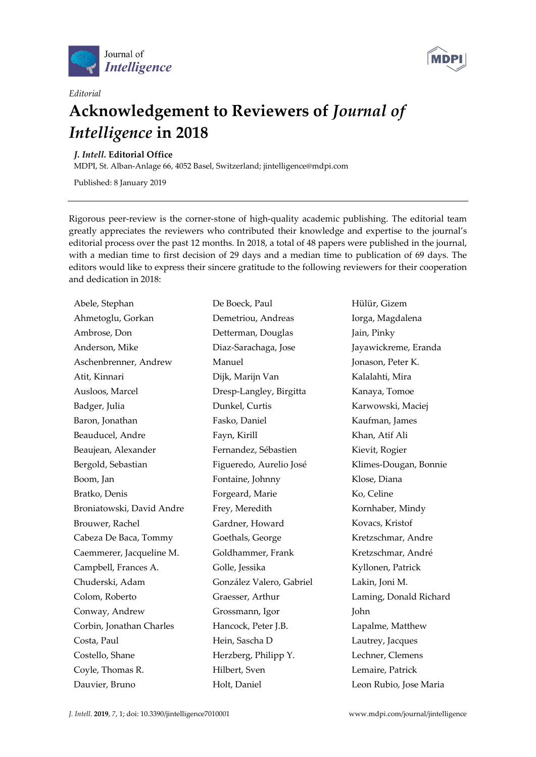

*Editorial* 



## **Acknowledgement to Reviewers of** *Journal of Intelligence* **in 2018**

*J. Intell.* **Editorial Office** 

MDPI, St. Alban-Anlage 66, 4052 Basel, Switzerland; jintelligence@mdpi.com

Published: 8 January 2019

Rigorous peer-review is the corner-stone of high-quality academic publishing. The editorial team greatly appreciates the reviewers who contributed their knowledge and expertise to the journal's editorial process over the past 12 months. In 2018, a total of 48 papers were published in the journal, with a median time to first decision of 29 days and a median time to publication of 69 days. The editors would like to express their sincere gratitude to the following reviewers for their cooperation and dedication in 2018:

Abele, Stephan Ahmetoglu, Gorkan Ambrose, Don Anderson, Mike Aschenbrenner, Andrew Atit, Kinnari Ausloos, Marcel Badger, Julia Baron, Jonathan Beauducel, Andre Beaujean, Alexander Bergold, Sebastian Boom, Jan Bratko, Denis Broniatowski, David Andre Brouwer, Rachel Cabeza De Baca, Tommy Caemmerer, Jacqueline M. Campbell, Frances A. Chuderski, Adam Colom, Roberto Conway, Andrew Corbin, Jonathan Charles Costa, Paul Costello, Shane Coyle, Thomas R. Dauvier, Bruno

De Boeck, Paul Demetriou, Andreas Detterman, Douglas Diaz-Sarachaga, Jose Manuel Dijk, Marijn Van Dresp-Langley, Birgitta Dunkel, Curtis Fasko, Daniel Fayn, Kirill Fernandez, Sébastien Figueredo, Aurelio José Fontaine, Johnny Forgeard, Marie Frey, Meredith Gardner, Howard Goethals, George Goldhammer, Frank Golle, Jessika González Valero, Gabriel Graesser, Arthur Grossmann, Igor Hancock, Peter J.B. Hein, Sascha D Herzberg, Philipp Y. Hilbert, Sven Holt, Daniel

Hülür, Gizem Iorga, Magdalena Jain, Pinky Jayawickreme, Eranda Jonason, Peter K. Kalalahti, Mira Kanaya, Tomoe Karwowski, Maciej Kaufman, James Khan, Atif Ali Kievit, Rogier Klimes-Dougan, Bonnie Klose, Diana Ko, Celine Kornhaber, Mindy Kovacs, Kristof Kretzschmar, Andre Kretzschmar, André Kyllonen, Patrick Lakin, Joni M. Laming, Donald Richard John Lapalme, Matthew Lautrey, Jacques Lechner, Clemens Lemaire, Patrick Leon Rubio, Jose Maria